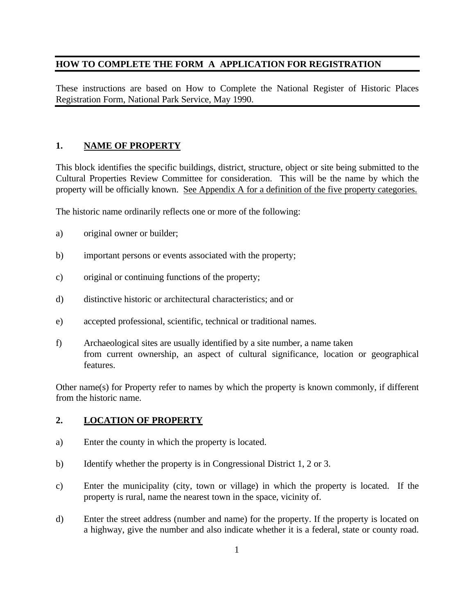## **HOW TO COMPLETE THE FORM A APPLICATION FOR REGISTRATION**

These instructions are based on How to Complete the National Register of Historic Places Registration Form, National Park Service, May 1990.

## **1. NAME OF PROPERTY**

This block identifies the specific buildings, district, structure, object or site being submitted to the Cultural Properties Review Committee for consideration. This will be the name by which the property will be officially known. See Appendix A for a definition of the five property categories.

The historic name ordinarily reflects one or more of the following:

- a) original owner or builder;
- b) important persons or events associated with the property;
- c) original or continuing functions of the property;
- d) distinctive historic or architectural characteristics; and or
- e) accepted professional, scientific, technical or traditional names.
- f) Archaeological sites are usually identified by a site number, a name taken from current ownership, an aspect of cultural significance, location or geographical features.

Other name(s) for Property refer to names by which the property is known commonly, if different from the historic name.

## **2. LOCATION OF PROPERTY**

- a) Enter the county in which the property is located.
- b) Identify whether the property is in Congressional District 1, 2 or 3.
- c) Enter the municipality (city, town or village) in which the property is located. If the property is rural, name the nearest town in the space, vicinity of.
- d) Enter the street address (number and name) for the property. If the property is located on a highway, give the number and also indicate whether it is a federal, state or county road.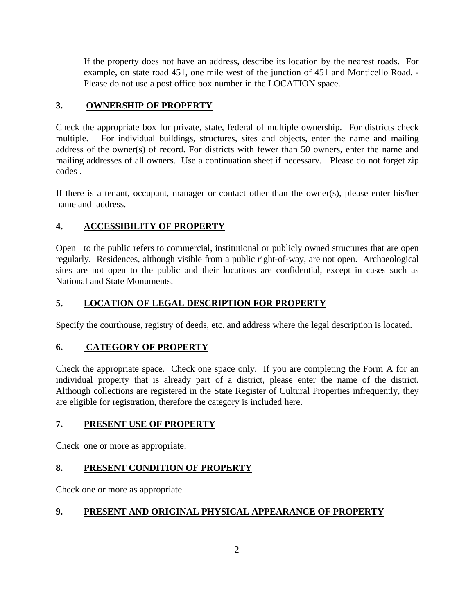If the property does not have an address, describe its location by the nearest roads. For example, on state road 451, one mile west of the junction of 451 and Monticello Road. - Please do not use a post office box number in the LOCATION space.

# **3. OWNERSHIP OF PROPERTY**

Check the appropriate box for private, state, federal of multiple ownership. For districts check multiple. For individual buildings, structures, sites and objects, enter the name and mailing address of the owner(s) of record. For districts with fewer than 50 owners, enter the name and mailing addresses of all owners. Use a continuation sheet if necessary. Please do not forget zip codes .

If there is a tenant, occupant, manager or contact other than the owner(s), please enter his/her name and address.

# **4. ACCESSIBILITY OF PROPERTY**

Open to the public refers to commercial, institutional or publicly owned structures that are open regularly. Residences, although visible from a public right-of-way, are not open. Archaeological sites are not open to the public and their locations are confidential, except in cases such as National and State Monuments.

## **5. LOCATION OF LEGAL DESCRIPTION FOR PROPERTY**

Specify the courthouse, registry of deeds, etc. and address where the legal description is located.

## **6. CATEGORY OF PROPERTY**

Check the appropriate space. Check one space only. If you are completing the Form A for an individual property that is already part of a district, please enter the name of the district. Although collections are registered in the State Register of Cultural Properties infrequently, they are eligible for registration, therefore the category is included here.

## **7. PRESENT USE OF PROPERTY**

Check one or more as appropriate.

## **8. PRESENT CONDITION OF PROPERTY**

Check one or more as appropriate.

# **9. PRESENT AND ORIGINAL PHYSICAL APPEARANCE OF PROPERTY**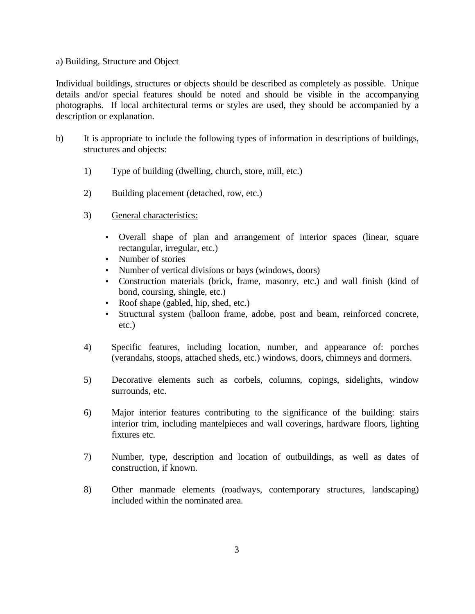#### a) Building, Structure and Object

Individual buildings, structures or objects should be described as completely as possible. Unique details and/or special features should be noted and should be visible in the accompanying photographs. If local architectural terms or styles are used, they should be accompanied by a description or explanation.

- b) It is appropriate to include the following types of information in descriptions of buildings, structures and objects:
	- 1) Type of building (dwelling, church, store, mill, etc.)
	- 2) Building placement (detached, row, etc.)
	- 3) General characteristics:
		- Overall shape of plan and arrangement of interior spaces (linear, square rectangular, irregular, etc.)
		- Number of stories
		- Number of vertical divisions or bays (windows, doors)
		- Construction materials (brick, frame, masonry, etc.) and wall finish (kind of bond, coursing, shingle, etc.)
		- Roof shape (gabled, hip, shed, etc.)
		- Structural system (balloon frame, adobe, post and beam, reinforced concrete, etc.)
	- 4) Specific features, including location, number, and appearance of: porches (verandahs, stoops, attached sheds, etc.) windows, doors, chimneys and dormers.
	- 5) Decorative elements such as corbels, columns, copings, sidelights, window surrounds, etc.
	- 6) Major interior features contributing to the significance of the building: stairs interior trim, including mantelpieces and wall coverings, hardware floors, lighting fixtures etc.
	- 7) Number, type, description and location of outbuildings, as well as dates of construction, if known.
	- 8) Other manmade elements (roadways, contemporary structures, landscaping) included within the nominated area.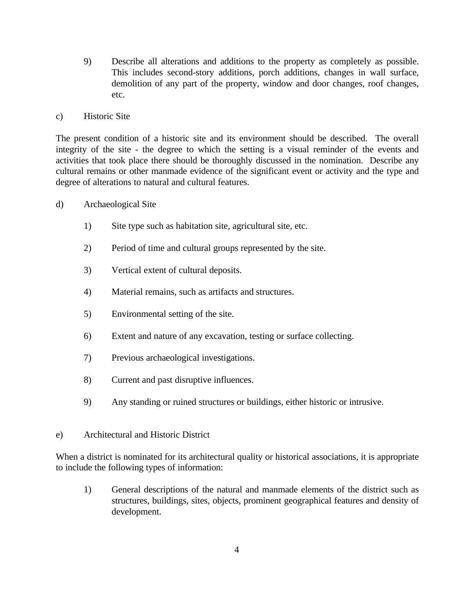9) Describe all alterations and additions to the property as completely as possible. This includes second-story additions, porch additions, changes in wall surface, demolition of any part of the property, window and door changes, roof changes, etc.

#### c) Historic Site

The present condition of a historic site and its environment should be described. The overall integrity of the site - the degree to which the setting is a visual reminder of the events and activities that took place there should be thoroughly discussed in the nomination. Describe any cultural remains or other manmade evidence of the significant event or activity and the type and degree of alterations to natural and cultural features.

- d) Archaeological Site
	- 1) Site type such as habitation site, agricultural site, etc.
	- 2) Period of time and cultural groups represented by the site.
	- 3) Vertical extent of cultural deposits.
	- 4) Material remains, such as artifacts and structures.
	- 5) Environmental setting of the site.
	- 6) Extent and nature of any excavation, testing or surface collecting.
	- 7) Previous archaeological investigations.
	- 8) Current and past disruptive influences.
	- 9) Any standing or ruined structures or buildings, either historic or intrusive.

#### e) Architectural and Historic District

When a district is nominated for its architectural quality or historical associations, it is appropriate to include the following types of information:

1) General descriptions of the natural and manmade elements of the district such as structures, buildings, sites, objects, prominent geographical features and density of development.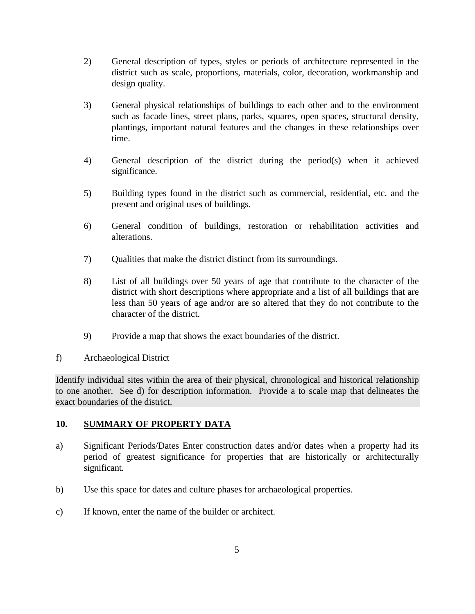- 2) General description of types, styles or periods of architecture represented in the district such as scale, proportions, materials, color, decoration, workmanship and design quality.
- 3) General physical relationships of buildings to each other and to the environment such as facade lines, street plans, parks, squares, open spaces, structural density, plantings, important natural features and the changes in these relationships over time.
- 4) General description of the district during the period(s) when it achieved significance.
- 5) Building types found in the district such as commercial, residential, etc. and the present and original uses of buildings.
- 6) General condition of buildings, restoration or rehabilitation activities and alterations.
- 7) Qualities that make the district distinct from its surroundings.
- 8) List of all buildings over 50 years of age that contribute to the character of the district with short descriptions where appropriate and a list of all buildings that are less than 50 years of age and/or are so altered that they do not contribute to the character of the district.
- 9) Provide a map that shows the exact boundaries of the district.
- f) Archaeological District

Identify individual sites within the area of their physical, chronological and historical relationship to one another. See d) for description information. Provide a to scale map that delineates the exact boundaries of the district.

## **10. SUMMARY OF PROPERTY DATA**

- a) Significant Periods/Dates Enter construction dates and/or dates when a property had its period of greatest significance for properties that are historically or architecturally significant.
- b) Use this space for dates and culture phases for archaeological properties.
- c) If known, enter the name of the builder or architect.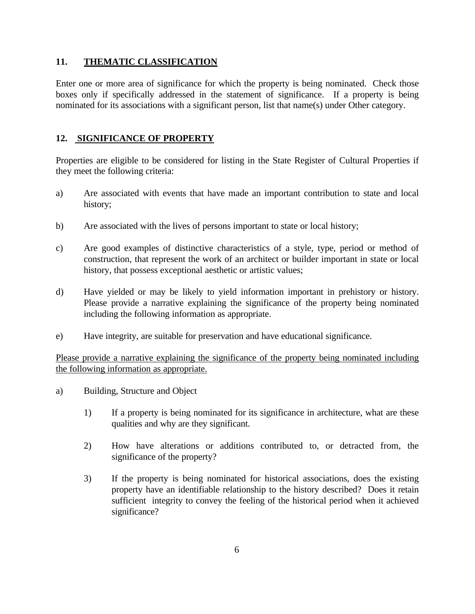#### **11. THEMATIC CLASSIFICATION**

Enter one or more area of significance for which the property is being nominated. Check those boxes only if specifically addressed in the statement of significance. If a property is being nominated for its associations with a significant person, list that name(s) under Other category.

#### **12. SIGNIFICANCE OF PROPERTY**

Properties are eligible to be considered for listing in the State Register of Cultural Properties if they meet the following criteria:

- a) Are associated with events that have made an important contribution to state and local history;
- b) Are associated with the lives of persons important to state or local history;
- c) Are good examples of distinctive characteristics of a style, type, period or method of construction, that represent the work of an architect or builder important in state or local history, that possess exceptional aesthetic or artistic values;
- d) Have yielded or may be likely to yield information important in prehistory or history. Please provide a narrative explaining the significance of the property being nominated including the following information as appropriate.
- e) Have integrity, are suitable for preservation and have educational significance.

Please provide a narrative explaining the significance of the property being nominated including the following information as appropriate.

- a) Building, Structure and Object
	- 1) If a property is being nominated for its significance in architecture, what are these qualities and why are they significant.
	- 2) How have alterations or additions contributed to, or detracted from, the significance of the property?
	- 3) If the property is being nominated for historical associations, does the existing property have an identifiable relationship to the history described? Does it retain sufficient integrity to convey the feeling of the historical period when it achieved significance?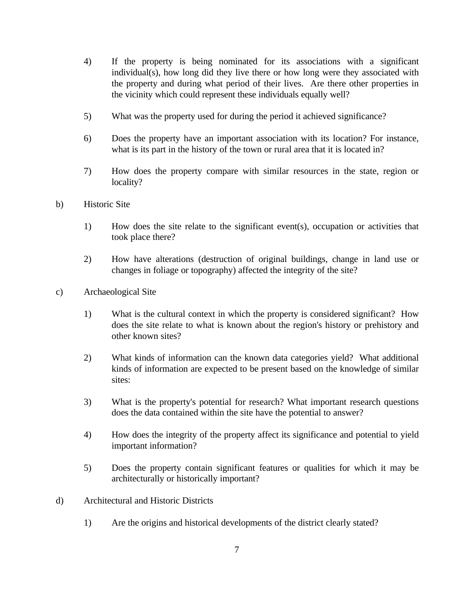- 4) If the property is being nominated for its associations with a significant individual(s), how long did they live there or how long were they associated with the property and during what period of their lives. Are there other properties in the vicinity which could represent these individuals equally well?
- 5) What was the property used for during the period it achieved significance?
- 6) Does the property have an important association with its location? For instance, what is its part in the history of the town or rural area that it is located in?
- 7) How does the property compare with similar resources in the state, region or locality?
- b) Historic Site
	- 1) How does the site relate to the significant event(s), occupation or activities that took place there?
	- 2) How have alterations (destruction of original buildings, change in land use or changes in foliage or topography) affected the integrity of the site?
- c) Archaeological Site
	- 1) What is the cultural context in which the property is considered significant? How does the site relate to what is known about the region's history or prehistory and other known sites?
	- 2) What kinds of information can the known data categories yield? What additional kinds of information are expected to be present based on the knowledge of similar sites:
	- 3) What is the property's potential for research? What important research questions does the data contained within the site have the potential to answer?
	- 4) How does the integrity of the property affect its significance and potential to yield important information?
	- 5) Does the property contain significant features or qualities for which it may be architecturally or historically important?
- d) Architectural and Historic Districts
	- 1) Are the origins and historical developments of the district clearly stated?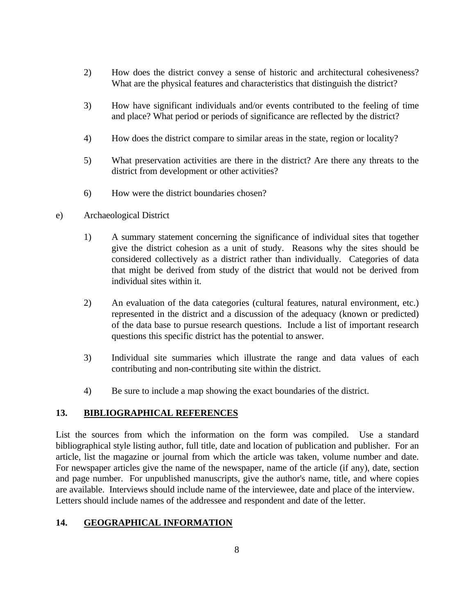- 2) How does the district convey a sense of historic and architectural cohesiveness? What are the physical features and characteristics that distinguish the district?
- 3) How have significant individuals and/or events contributed to the feeling of time and place? What period or periods of significance are reflected by the district?
- 4) How does the district compare to similar areas in the state, region or locality?
- 5) What preservation activities are there in the district? Are there any threats to the district from development or other activities?
- 6) How were the district boundaries chosen?
- e) Archaeological District
	- 1) A summary statement concerning the significance of individual sites that together give the district cohesion as a unit of study. Reasons why the sites should be considered collectively as a district rather than individually. Categories of data that might be derived from study of the district that would not be derived from individual sites within it.
	- 2) An evaluation of the data categories (cultural features, natural environment, etc.) represented in the district and a discussion of the adequacy (known or predicted) of the data base to pursue research questions. Include a list of important research questions this specific district has the potential to answer.
	- 3) Individual site summaries which illustrate the range and data values of each contributing and non-contributing site within the district.
	- 4) Be sure to include a map showing the exact boundaries of the district.

#### **13. BIBLIOGRAPHICAL REFERENCES**

List the sources from which the information on the form was compiled. Use a standard bibliographical style listing author, full title, date and location of publication and publisher. For an article, list the magazine or journal from which the article was taken, volume number and date. For newspaper articles give the name of the newspaper, name of the article (if any), date, section and page number. For unpublished manuscripts, give the author's name, title, and where copies are available. Interviews should include name of the interviewee, date and place of the interview. Letters should include names of the addressee and respondent and date of the letter.

## **14. GEOGRAPHICAL INFORMATION**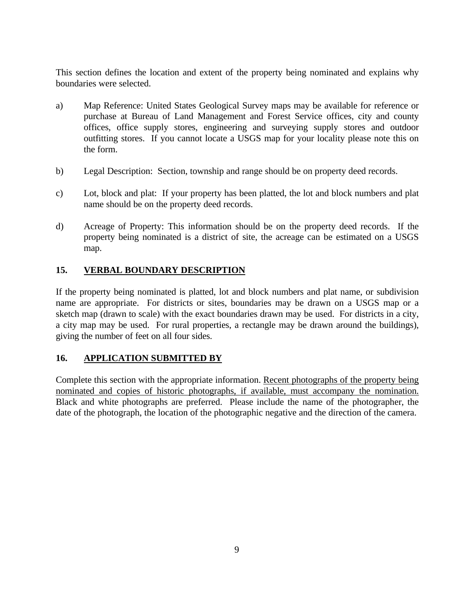This section defines the location and extent of the property being nominated and explains why boundaries were selected.

- a) Map Reference: United States Geological Survey maps may be available for reference or purchase at Bureau of Land Management and Forest Service offices, city and county offices, office supply stores, engineering and surveying supply stores and outdoor outfitting stores. If you cannot locate a USGS map for your locality please note this on the form.
- b) Legal Description: Section, township and range should be on property deed records.
- c) Lot, block and plat: If your property has been platted, the lot and block numbers and plat name should be on the property deed records.
- d) Acreage of Property: This information should be on the property deed records. If the property being nominated is a district of site, the acreage can be estimated on a USGS map.

## **15. VERBAL BOUNDARY DESCRIPTION**

If the property being nominated is platted, lot and block numbers and plat name, or subdivision name are appropriate. For districts or sites, boundaries may be drawn on a USGS map or a sketch map (drawn to scale) with the exact boundaries drawn may be used. For districts in a city, a city map may be used. For rural properties, a rectangle may be drawn around the buildings), giving the number of feet on all four sides.

## **16. APPLICATION SUBMITTED BY**

Complete this section with the appropriate information. Recent photographs of the property being nominated and copies of historic photographs, if available, must accompany the nomination. Black and white photographs are preferred. Please include the name of the photographer, the date of the photograph, the location of the photographic negative and the direction of the camera.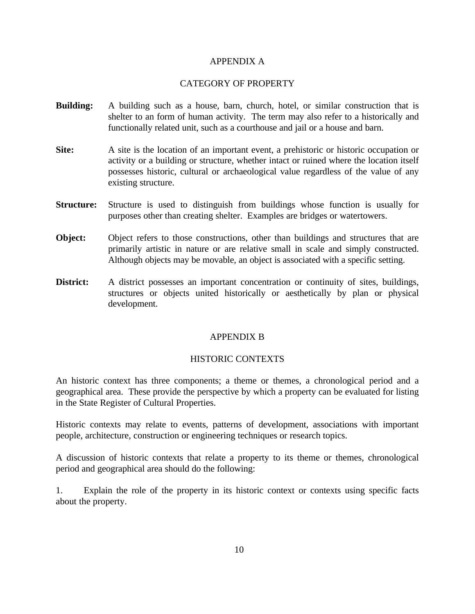#### APPENDIX A

#### CATEGORY OF PROPERTY

- **Building:** A building such as a house, barn, church, hotel, or similar construction that is shelter to an form of human activity. The term may also refer to a historically and functionally related unit, such as a courthouse and jail or a house and barn.
- **Site:** A site is the location of an important event, a prehistoric or historic occupation or activity or a building or structure, whether intact or ruined where the location itself possesses historic, cultural or archaeological value regardless of the value of any existing structure.
- **Structure:** Structure is used to distinguish from buildings whose function is usually for purposes other than creating shelter. Examples are bridges or watertowers.
- **Object:** Object refers to those constructions, other than buildings and structures that are primarily artistic in nature or are relative small in scale and simply constructed. Although objects may be movable, an object is associated with a specific setting.
- **District:** A district possesses an important concentration or continuity of sites, buildings, structures or objects united historically or aesthetically by plan or physical development.

#### APPENDIX B

#### HISTORIC CONTEXTS

An historic context has three components; a theme or themes, a chronological period and a geographical area. These provide the perspective by which a property can be evaluated for listing in the State Register of Cultural Properties.

Historic contexts may relate to events, patterns of development, associations with important people, architecture, construction or engineering techniques or research topics.

A discussion of historic contexts that relate a property to its theme or themes, chronological period and geographical area should do the following:

1. Explain the role of the property in its historic context or contexts using specific facts about the property.